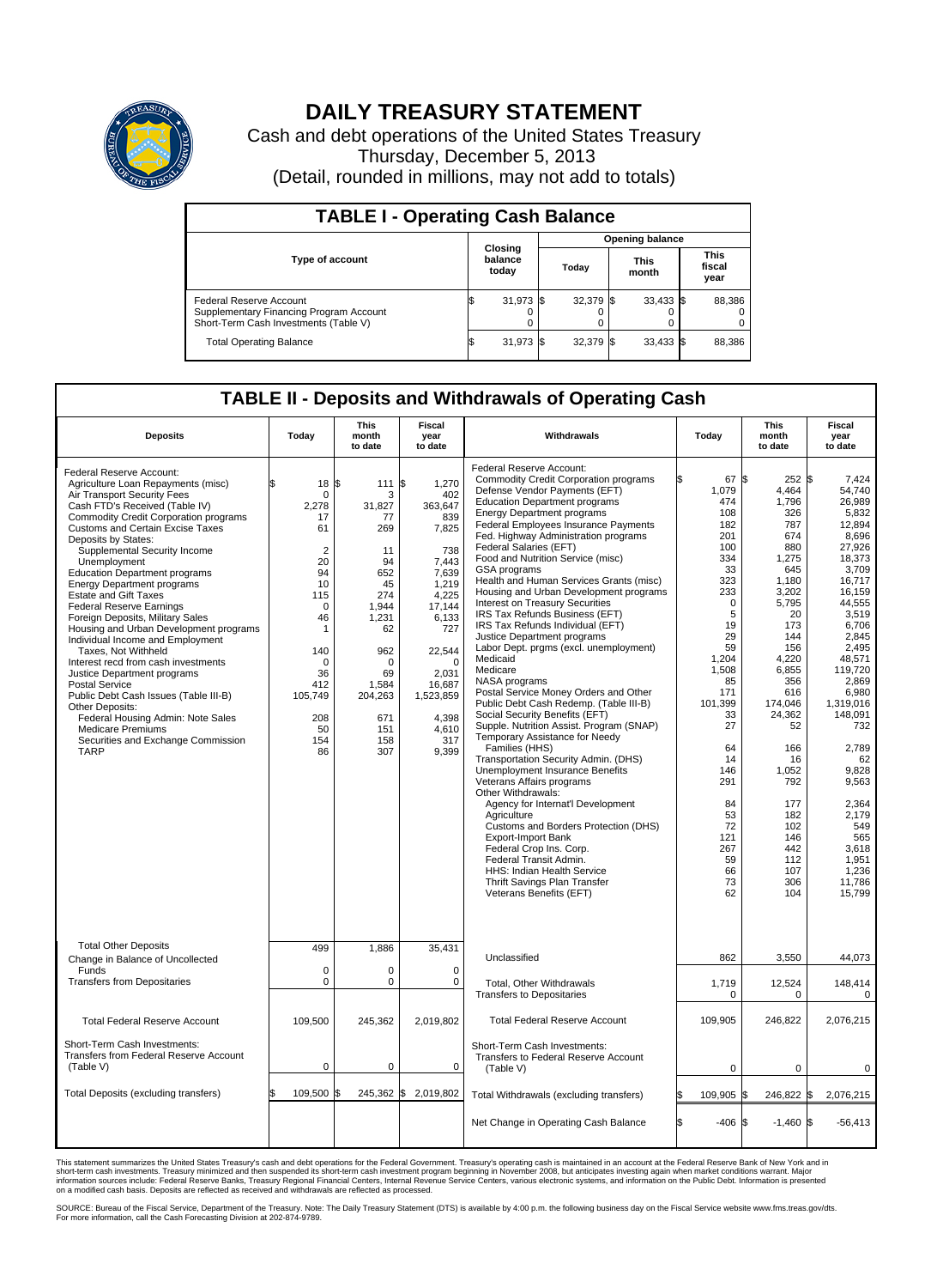

## **DAILY TREASURY STATEMENT**

Cash and debt operations of the United States Treasury Thursday, December 5, 2013 (Detail, rounded in millions, may not add to totals)

| <b>TABLE I - Operating Cash Balance</b>                                                                     |                             |             |  |                               |  |             |  |                               |  |  |  |
|-------------------------------------------------------------------------------------------------------------|-----------------------------|-------------|--|-------------------------------|--|-------------|--|-------------------------------|--|--|--|
|                                                                                                             |                             |             |  | <b>Opening balance</b>        |  |             |  |                               |  |  |  |
| Type of account                                                                                             | Closing<br>balance<br>today |             |  | <b>This</b><br>Today<br>month |  |             |  | <b>This</b><br>fiscal<br>year |  |  |  |
| Federal Reserve Account<br>Supplementary Financing Program Account<br>Short-Term Cash Investments (Table V) |                             | 31,973 \$   |  | 32,379 \$                     |  | $33,433$ \$ |  | 88,386                        |  |  |  |
| <b>Total Operating Balance</b>                                                                              | IЪ                          | $31,973$ \$ |  | 32,379 \$                     |  | $33,433$ \$ |  | 88,386                        |  |  |  |

## **TABLE II - Deposits and Withdrawals of Operating Cash**

| <b>Deposits</b>                                                                                                                                                                                                                                                                                                                                                                                                                                                                                                                                                                                                                                                                                                                                                                                                                                                      | Today                                                                                                                                                                                                                           | <b>This</b><br>month<br>to date                                                                                                                                   | Fiscal<br>year<br>to date                                                                                                                                                                            | Withdrawals                                                                                                                                                                                                                                                                                                                                                                                                                                                                                                                                                                                                                                                                                                                                                                                                                                                                                                                                                                                                                                                                                                                                                                                                                                                                                                          | Today                                                                                                                                                                                                                                                             | <b>This</b><br>month<br>to date                                                                                                                                                                                                                                                 | <b>Fiscal</b><br>year<br>to date                                                                                                                                                                                                                                                                                                           |
|----------------------------------------------------------------------------------------------------------------------------------------------------------------------------------------------------------------------------------------------------------------------------------------------------------------------------------------------------------------------------------------------------------------------------------------------------------------------------------------------------------------------------------------------------------------------------------------------------------------------------------------------------------------------------------------------------------------------------------------------------------------------------------------------------------------------------------------------------------------------|---------------------------------------------------------------------------------------------------------------------------------------------------------------------------------------------------------------------------------|-------------------------------------------------------------------------------------------------------------------------------------------------------------------|------------------------------------------------------------------------------------------------------------------------------------------------------------------------------------------------------|----------------------------------------------------------------------------------------------------------------------------------------------------------------------------------------------------------------------------------------------------------------------------------------------------------------------------------------------------------------------------------------------------------------------------------------------------------------------------------------------------------------------------------------------------------------------------------------------------------------------------------------------------------------------------------------------------------------------------------------------------------------------------------------------------------------------------------------------------------------------------------------------------------------------------------------------------------------------------------------------------------------------------------------------------------------------------------------------------------------------------------------------------------------------------------------------------------------------------------------------------------------------------------------------------------------------|-------------------------------------------------------------------------------------------------------------------------------------------------------------------------------------------------------------------------------------------------------------------|---------------------------------------------------------------------------------------------------------------------------------------------------------------------------------------------------------------------------------------------------------------------------------|--------------------------------------------------------------------------------------------------------------------------------------------------------------------------------------------------------------------------------------------------------------------------------------------------------------------------------------------|
| Federal Reserve Account:<br>Agriculture Loan Repayments (misc)<br>Air Transport Security Fees<br>Cash FTD's Received (Table IV)<br><b>Commodity Credit Corporation programs</b><br><b>Customs and Certain Excise Taxes</b><br>Deposits by States:<br>Supplemental Security Income<br>Unemployment<br><b>Education Department programs</b><br><b>Energy Department programs</b><br><b>Estate and Gift Taxes</b><br><b>Federal Reserve Earnings</b><br>Foreign Deposits, Military Sales<br>Housing and Urban Development programs<br>Individual Income and Employment<br>Taxes. Not Withheld<br>Interest recd from cash investments<br>Justice Department programs<br>Postal Service<br>Public Debt Cash Issues (Table III-B)<br>Other Deposits:<br>Federal Housing Admin: Note Sales<br><b>Medicare Premiums</b><br>Securities and Exchange Commission<br><b>TARP</b> | \$<br>$18 \text{ }$ $\text{ }$ $\text{ }$ $\text{ }$<br>$\Omega$<br>2,278<br>17<br>61<br>$\overline{2}$<br>20<br>94<br>10<br>115<br>$\mathbf 0$<br>46<br>1<br>140<br>$\Omega$<br>36<br>412<br>105,749<br>208<br>50<br>154<br>86 | 111S<br>3<br>31,827<br>77<br>269<br>11<br>94<br>652<br>45<br>274<br>1,944<br>1,231<br>62<br>962<br>$\Omega$<br>69<br>1,584<br>204,263<br>671<br>151<br>158<br>307 | 1,270<br>402<br>363,647<br>839<br>7,825<br>738<br>7.443<br>7,639<br>1,219<br>4,225<br>17,144<br>6,133<br>727<br>22,544<br>$\Omega$<br>2,031<br>16,687<br>1,523,859<br>4,398<br>4.610<br>317<br>9,399 | Federal Reserve Account:<br><b>Commodity Credit Corporation programs</b><br>Defense Vendor Payments (EFT)<br><b>Education Department programs</b><br><b>Energy Department programs</b><br><b>Federal Employees Insurance Payments</b><br>Fed. Highway Administration programs<br>Federal Salaries (EFT)<br>Food and Nutrition Service (misc)<br><b>GSA</b> programs<br>Health and Human Services Grants (misc)<br>Housing and Urban Development programs<br>Interest on Treasury Securities<br>IRS Tax Refunds Business (EFT)<br>IRS Tax Refunds Individual (EFT)<br>Justice Department programs<br>Labor Dept. prgms (excl. unemployment)<br>Medicaid<br>Medicare<br>NASA programs<br>Postal Service Money Orders and Other<br>Public Debt Cash Redemp. (Table III-B)<br>Social Security Benefits (EFT)<br>Supple. Nutrition Assist. Program (SNAP)<br>Temporary Assistance for Needy<br>Families (HHS)<br>Transportation Security Admin. (DHS)<br><b>Unemployment Insurance Benefits</b><br>Veterans Affairs programs<br>Other Withdrawals:<br>Agency for Internat'l Development<br>Agriculture<br>Customs and Borders Protection (DHS)<br><b>Export-Import Bank</b><br>Federal Crop Ins. Corp.<br>Federal Transit Admin.<br>HHS: Indian Health Service<br>Thrift Savings Plan Transfer<br>Veterans Benefits (EFT) | 67 \$<br>l\$<br>1,079<br>474<br>108<br>182<br>201<br>100<br>334<br>33<br>323<br>233<br>$\mathbf 0$<br>5<br>19<br>29<br>59<br>1,204<br>1,508<br>85<br>171<br>101.399<br>33<br>27<br>64<br>14<br>146<br>291<br>84<br>53<br>72<br>121<br>267<br>59<br>66<br>73<br>62 | 252S<br>4,464<br>1,796<br>326<br>787<br>674<br>880<br>1,275<br>645<br>1,180<br>3,202<br>5,795<br>20<br>173<br>144<br>156<br>4,220<br>6,855<br>356<br>616<br>174,046<br>24,362<br>52<br>166<br>16<br>1.052<br>792<br>177<br>182<br>102<br>146<br>442<br>112<br>107<br>306<br>104 | 7,424<br>54,740<br>26.989<br>5,832<br>12,894<br>8.696<br>27,926<br>18,373<br>3.709<br>16,717<br>16,159<br>44,555<br>3.519<br>6,706<br>2.845<br>2,495<br>48.571<br>119,720<br>2,869<br>6,980<br>1.319.016<br>148,091<br>732<br>2,789<br>62<br>9.828<br>9,563<br>2,364<br>2,179<br>549<br>565<br>3,618<br>1,951<br>1.236<br>11,786<br>15,799 |
| <b>Total Other Deposits</b><br>Change in Balance of Uncollected                                                                                                                                                                                                                                                                                                                                                                                                                                                                                                                                                                                                                                                                                                                                                                                                      | 499                                                                                                                                                                                                                             | 1.886                                                                                                                                                             | 35.431                                                                                                                                                                                               | Unclassified                                                                                                                                                                                                                                                                                                                                                                                                                                                                                                                                                                                                                                                                                                                                                                                                                                                                                                                                                                                                                                                                                                                                                                                                                                                                                                         | 862                                                                                                                                                                                                                                                               | 3,550                                                                                                                                                                                                                                                                           | 44,073                                                                                                                                                                                                                                                                                                                                     |
| Funds<br><b>Transfers from Depositaries</b>                                                                                                                                                                                                                                                                                                                                                                                                                                                                                                                                                                                                                                                                                                                                                                                                                          | $\mathbf 0$<br>$\pmb{0}$                                                                                                                                                                                                        | $\Omega$<br>0                                                                                                                                                     | $\mathbf 0$<br>$\mathbf 0$                                                                                                                                                                           | Total, Other Withdrawals<br><b>Transfers to Depositaries</b>                                                                                                                                                                                                                                                                                                                                                                                                                                                                                                                                                                                                                                                                                                                                                                                                                                                                                                                                                                                                                                                                                                                                                                                                                                                         | 1,719<br>$\mathbf 0$                                                                                                                                                                                                                                              | 12,524<br>$\mathbf 0$                                                                                                                                                                                                                                                           | 148,414<br>$\mathbf 0$                                                                                                                                                                                                                                                                                                                     |
| <b>Total Federal Reserve Account</b>                                                                                                                                                                                                                                                                                                                                                                                                                                                                                                                                                                                                                                                                                                                                                                                                                                 | 109,500                                                                                                                                                                                                                         | 245,362                                                                                                                                                           | 2,019,802                                                                                                                                                                                            | <b>Total Federal Reserve Account</b>                                                                                                                                                                                                                                                                                                                                                                                                                                                                                                                                                                                                                                                                                                                                                                                                                                                                                                                                                                                                                                                                                                                                                                                                                                                                                 | 109,905                                                                                                                                                                                                                                                           | 246,822                                                                                                                                                                                                                                                                         | 2,076,215                                                                                                                                                                                                                                                                                                                                  |
| Short-Term Cash Investments:<br>Transfers from Federal Reserve Account<br>(Table V)                                                                                                                                                                                                                                                                                                                                                                                                                                                                                                                                                                                                                                                                                                                                                                                  | 0                                                                                                                                                                                                                               | 0                                                                                                                                                                 | 0                                                                                                                                                                                                    | Short-Term Cash Investments:<br>Transfers to Federal Reserve Account<br>(Table V)                                                                                                                                                                                                                                                                                                                                                                                                                                                                                                                                                                                                                                                                                                                                                                                                                                                                                                                                                                                                                                                                                                                                                                                                                                    | 0                                                                                                                                                                                                                                                                 | $\mathbf 0$                                                                                                                                                                                                                                                                     | $\mathbf 0$                                                                                                                                                                                                                                                                                                                                |
| Total Deposits (excluding transfers)                                                                                                                                                                                                                                                                                                                                                                                                                                                                                                                                                                                                                                                                                                                                                                                                                                 | \$<br>109,500 \$                                                                                                                                                                                                                |                                                                                                                                                                   | 245,362 \$2,019,802                                                                                                                                                                                  | Total Withdrawals (excluding transfers)                                                                                                                                                                                                                                                                                                                                                                                                                                                                                                                                                                                                                                                                                                                                                                                                                                                                                                                                                                                                                                                                                                                                                                                                                                                                              | 109,905<br>ß                                                                                                                                                                                                                                                      | 246,822<br>\$                                                                                                                                                                                                                                                                   | 2,076,215<br>\$                                                                                                                                                                                                                                                                                                                            |
|                                                                                                                                                                                                                                                                                                                                                                                                                                                                                                                                                                                                                                                                                                                                                                                                                                                                      |                                                                                                                                                                                                                                 |                                                                                                                                                                   |                                                                                                                                                                                                      | Net Change in Operating Cash Balance                                                                                                                                                                                                                                                                                                                                                                                                                                                                                                                                                                                                                                                                                                                                                                                                                                                                                                                                                                                                                                                                                                                                                                                                                                                                                 | <b>S</b><br>$-406$                                                                                                                                                                                                                                                | $-1,460$ \$<br>S.                                                                                                                                                                                                                                                               | $-56,413$                                                                                                                                                                                                                                                                                                                                  |

This statement summarizes the United States Treasury's cash and debt operations for the Federal Government. Treasury's operating cash is maintained in an account at the Federal Reserve Bank of New York and in<br>informetion c

SOURCE: Bureau of the Fiscal Service, Department of the Treasury. Note: The Daily Treasury Statement (DTS) is available by 4:00 p.m. the following business day on the Fiscal Service website www.fms.treas.gov/dts.<br>For more